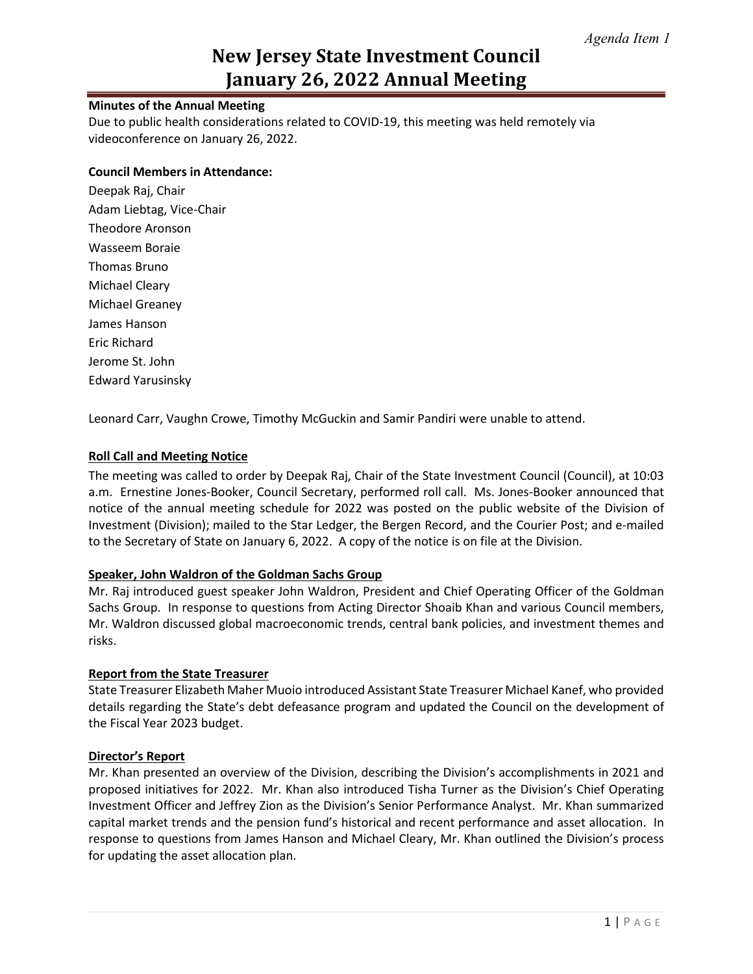# **New Jersey State Investment Council January 26, 2022 Annual Meeting**

# **Minutes of the Annual Meeting**

Due to public health considerations related to COVID-19, this meeting was held remotely via videoconference on January 26, 2022.

# **Council Members in Attendance:**

Deepak Raj, Chair Adam Liebtag, Vice-Chair Theodore Aronson Wasseem Boraie Thomas Bruno Michael Cleary Michael Greaney James Hanson Eric Richard Jerome St. John Edward Yarusinsky

Leonard Carr, Vaughn Crowe, Timothy McGuckin and Samir Pandiri were unable to attend.

# **Roll Call and Meeting Notice**

The meeting was called to order by Deepak Raj, Chair of the State Investment Council (Council), at 10:03 a.m. Ernestine Jones-Booker, Council Secretary, performed roll call. Ms. Jones-Booker announced that notice of the annual meeting schedule for 2022 was posted on the public website of the Division of Investment (Division); mailed to the Star Ledger, the Bergen Record, and the Courier Post; and e-mailed to the Secretary of State on January 6, 2022. A copy of the notice is on file at the Division.

#### **Speaker, John Waldron of the Goldman Sachs Group**

Mr. Raj introduced guest speaker John Waldron, President and Chief Operating Officer of the Goldman Sachs Group. In response to questions from Acting Director Shoaib Khan and various Council members, Mr. Waldron discussed global macroeconomic trends, central bank policies, and investment themes and risks.

#### **Report from the State Treasurer**

State Treasurer Elizabeth Maher Muoio introduced Assistant State Treasurer Michael Kanef, who provided details regarding the State's debt defeasance program and updated the Council on the development of the Fiscal Year 2023 budget.

#### **Director's Report**

Mr. Khan presented an overview of the Division, describing the Division's accomplishments in 2021 and proposed initiatives for 2022. Mr. Khan also introduced Tisha Turner as the Division's Chief Operating Investment Officer and Jeffrey Zion as the Division's Senior Performance Analyst. Mr. Khan summarized capital market trends and the pension fund's historical and recent performance and asset allocation. In response to questions from James Hanson and Michael Cleary, Mr. Khan outlined the Division's process for updating the asset allocation plan.